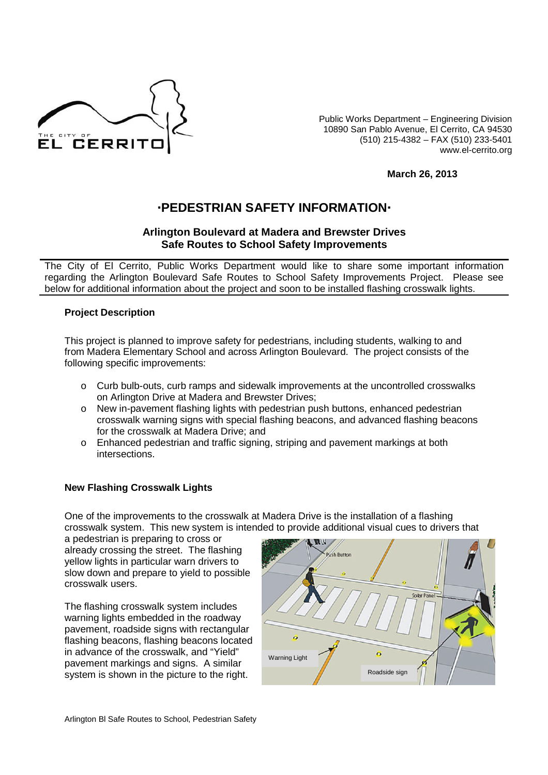

Public Works Department – Engineering Division 10890 San Pablo Avenue, El Cerrito, CA 94530 (510) 215-4382 – FAX (510) 233-5401 www.el-cerrito.org

**March 26, 2013**

# **PEDESTRIAN SAFETY INFORMATION**

## **Arlington Boulevard at Madera and Brewster Drives Safe Routes to School Safety Improvements**

The City of El Cerrito, Public Works Department would like to share some important information regarding the Arlington Boulevard Safe Routes to School Safety Improvements Project. Please see below for additional information about the project and soon to be installed flashing crosswalk lights.

### **Project Description**

This project is planned to improve safety for pedestrians, including students, walking to and from Madera Elementary School and across Arlington Boulevard. The project consists of the following specific improvements:

- o Curb bulb-outs, curb ramps and sidewalk improvements at the uncontrolled crosswalks on Arlington Drive at Madera and Brewster Drives;
- o New in-pavement flashing lights with pedestrian push buttons, enhanced pedestrian crosswalk warning signs with special flashing beacons, and advanced flashing beacons for the crosswalk at Madera Drive; and
- o Enhanced pedestrian and traffic signing, striping and pavement markings at both intersections.

### **New Flashing Crosswalk Lights**

One of the improvements to the crosswalk at Madera Drive is the installation of a flashing crosswalk system. This new system is intended to provide additional visual cues to drivers that

a pedestrian is preparing to cross or already crossing the street. The flashing yellow lights in particular warn drivers to slow down and prepare to yield to possible crosswalk users.

The flashing crosswalk system includes warning lights embedded in the roadway pavement, roadside signs with rectangular flashing beacons, flashing beacons located in advance of the crosswalk, and "Yield" pavement markings and signs. A similar system is shown in the picture to the right.